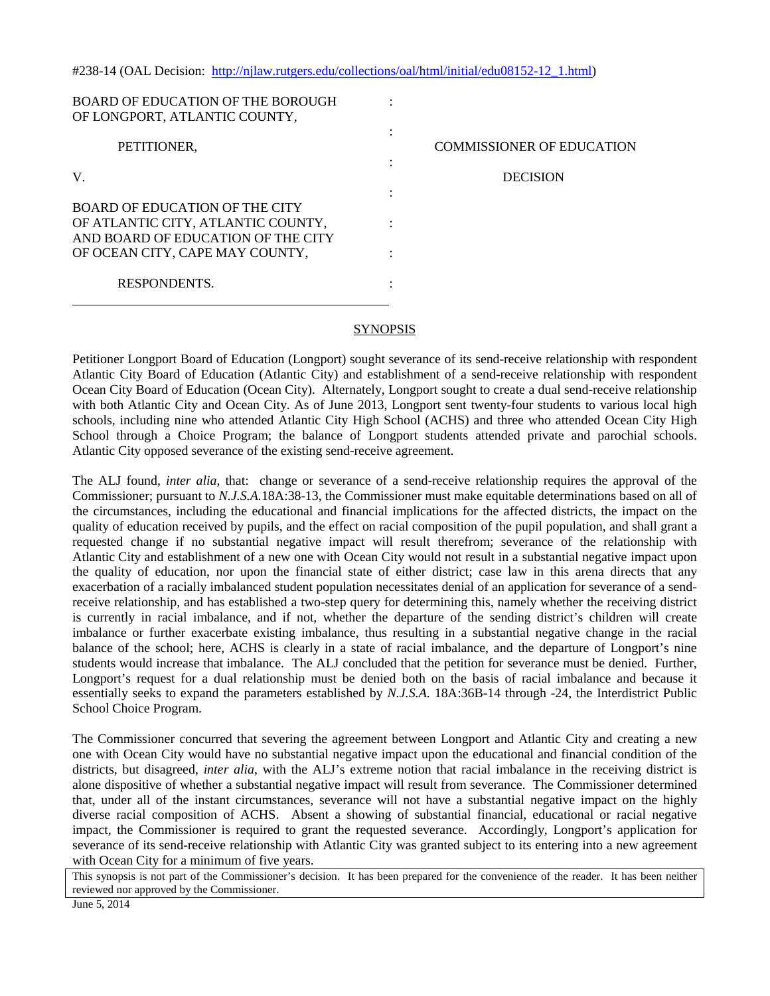| BOARD OF EDUCATION OF THE BOROUGH<br>OF LONGPORT, ATLANTIC COUNTY,                                                                            |                                  |
|-----------------------------------------------------------------------------------------------------------------------------------------------|----------------------------------|
| PETITIONER,                                                                                                                                   | <b>COMMISSIONER OF EDUCATION</b> |
| V.                                                                                                                                            | <b>DECISION</b>                  |
| BOARD OF EDUCATION OF THE CITY<br>OF ATLANTIC CITY, ATLANTIC COUNTY,<br>AND BOARD OF EDUCATION OF THE CITY<br>OF OCEAN CITY, CAPE MAY COUNTY, |                                  |
| <b>RESPONDENTS.</b>                                                                                                                           |                                  |

#238-14 (OAL Decision: [http://njlaw.rutgers.edu/collections/oal/html/initial/edu08152-12\\_1.html\)](http://njlaw.rutgers.edu/collections/oal/html/initial/edu08152-12_1.html)

## **SYNOPSIS**

Petitioner Longport Board of Education (Longport) sought severance of its send-receive relationship with respondent Atlantic City Board of Education (Atlantic City) and establishment of a send-receive relationship with respondent Ocean City Board of Education (Ocean City). Alternately, Longport sought to create a dual send-receive relationship with both Atlantic City and Ocean City. As of June 2013, Longport sent twenty-four students to various local high schools, including nine who attended Atlantic City High School (ACHS) and three who attended Ocean City High School through a Choice Program; the balance of Longport students attended private and parochial schools. Atlantic City opposed severance of the existing send-receive agreement.

The ALJ found, *inter alia*, that: change or severance of a send-receive relationship requires the approval of the Commissioner; pursuant to *N.J.S.A.*18A:38-13, the Commissioner must make equitable determinations based on all of the circumstances, including the educational and financial implications for the affected districts, the impact on the quality of education received by pupils, and the effect on racial composition of the pupil population, and shall grant a requested change if no substantial negative impact will result therefrom; severance of the relationship with Atlantic City and establishment of a new one with Ocean City would not result in a substantial negative impact upon the quality of education, nor upon the financial state of either district; case law in this arena directs that any exacerbation of a racially imbalanced student population necessitates denial of an application for severance of a sendreceive relationship, and has established a two-step query for determining this, namely whether the receiving district is currently in racial imbalance, and if not, whether the departure of the sending district's children will create imbalance or further exacerbate existing imbalance, thus resulting in a substantial negative change in the racial balance of the school; here, ACHS is clearly in a state of racial imbalance, and the departure of Longport's nine students would increase that imbalance. The ALJ concluded that the petition for severance must be denied. Further, Longport's request for a dual relationship must be denied both on the basis of racial imbalance and because it essentially seeks to expand the parameters established by *N.J.S.A.* 18A:36B-14 through -24, the Interdistrict Public School Choice Program.

The Commissioner concurred that severing the agreement between Longport and Atlantic City and creating a new one with Ocean City would have no substantial negative impact upon the educational and financial condition of the districts, but disagreed, *inter alia*, with the ALJ's extreme notion that racial imbalance in the receiving district is alone dispositive of whether a substantial negative impact will result from severance. The Commissioner determined that, under all of the instant circumstances, severance will not have a substantial negative impact on the highly diverse racial composition of ACHS. Absent a showing of substantial financial, educational or racial negative impact, the Commissioner is required to grant the requested severance. Accordingly, Longport's application for severance of its send-receive relationship with Atlantic City was granted subject to its entering into a new agreement with Ocean City for a minimum of five years.

This synopsis is not part of the Commissioner's decision. It has been prepared for the convenience of the reader. It has been neither reviewed nor approved by the Commissioner.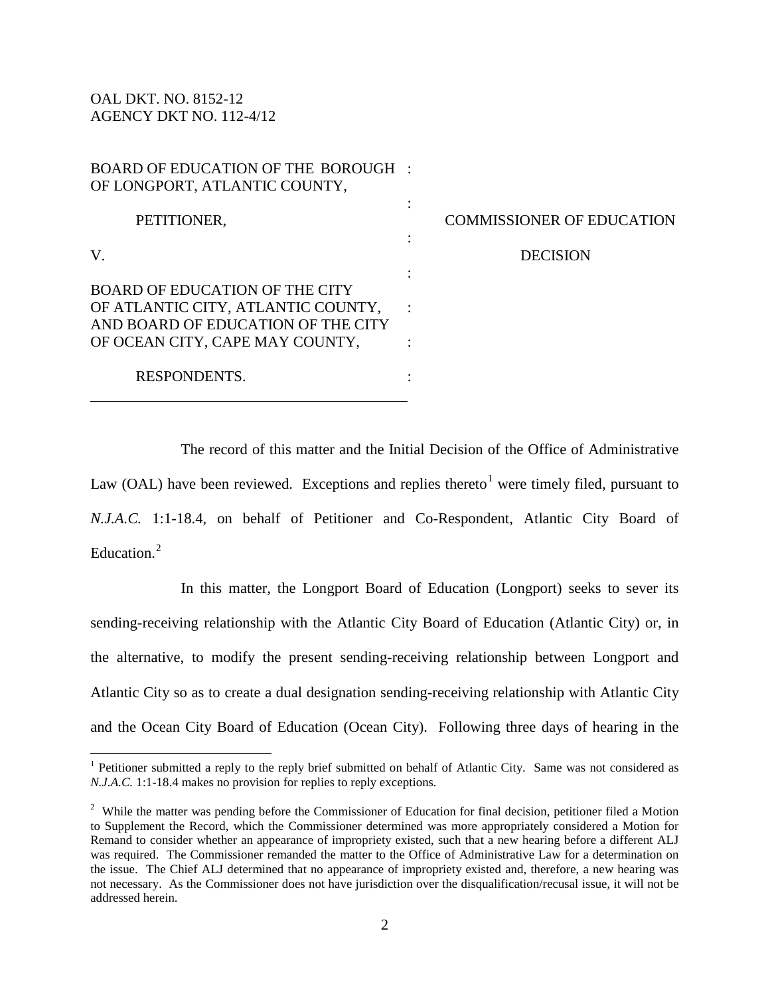OAL DKT. NO. 8152-12 AGENCY DKT NO. 112-4/12

 $\overline{a}$ 

| BOARD OF EDUCATION OF THE BOROUGH  |  |
|------------------------------------|--|
| OF LONGPORT, ATLANTIC COUNTY,      |  |
| PETITIONER,                        |  |
|                                    |  |
| V.                                 |  |
| BOARD OF EDUCATION OF THE CITY     |  |
| OF ATLANTIC CITY, ATLANTIC COUNTY, |  |
| AND BOARD OF EDUCATION OF THE CITY |  |
| OF OCEAN CITY, CAPE MAY COUNTY,    |  |
| RESPONDENTS.                       |  |

COMMISSIONER OF EDUCATION

**DECISION** 

The record of this matter and the Initial Decision of the Office of Administrative Law (OAL) have been reviewed. Exceptions and replies thereto<sup>[1](#page-1-0)</sup> were timely filed, pursuant to *N.J.A.C.* 1:1-18.4, on behalf of Petitioner and Co-Respondent, Atlantic City Board of Education.<sup>[2](#page-1-1)</sup>

In this matter, the Longport Board of Education (Longport) seeks to sever its sending-receiving relationship with the Atlantic City Board of Education (Atlantic City) or, in the alternative, to modify the present sending-receiving relationship between Longport and Atlantic City so as to create a dual designation sending-receiving relationship with Atlantic City and the Ocean City Board of Education (Ocean City). Following three days of hearing in the

<span id="page-1-0"></span><sup>&</sup>lt;sup>1</sup> Petitioner submitted a reply to the reply brief submitted on behalf of Atlantic City. Same was not considered as *N.J.A.C.* 1:1-18.4 makes no provision for replies to reply exceptions.

<span id="page-1-1"></span> $2$  While the matter was pending before the Commissioner of Education for final decision, petitioner filed a Motion to Supplement the Record, which the Commissioner determined was more appropriately considered a Motion for Remand to consider whether an appearance of impropriety existed, such that a new hearing before a different ALJ was required. The Commissioner remanded the matter to the Office of Administrative Law for a determination on the issue. The Chief ALJ determined that no appearance of impropriety existed and, therefore, a new hearing was not necessary. As the Commissioner does not have jurisdiction over the disqualification/recusal issue, it will not be addressed herein.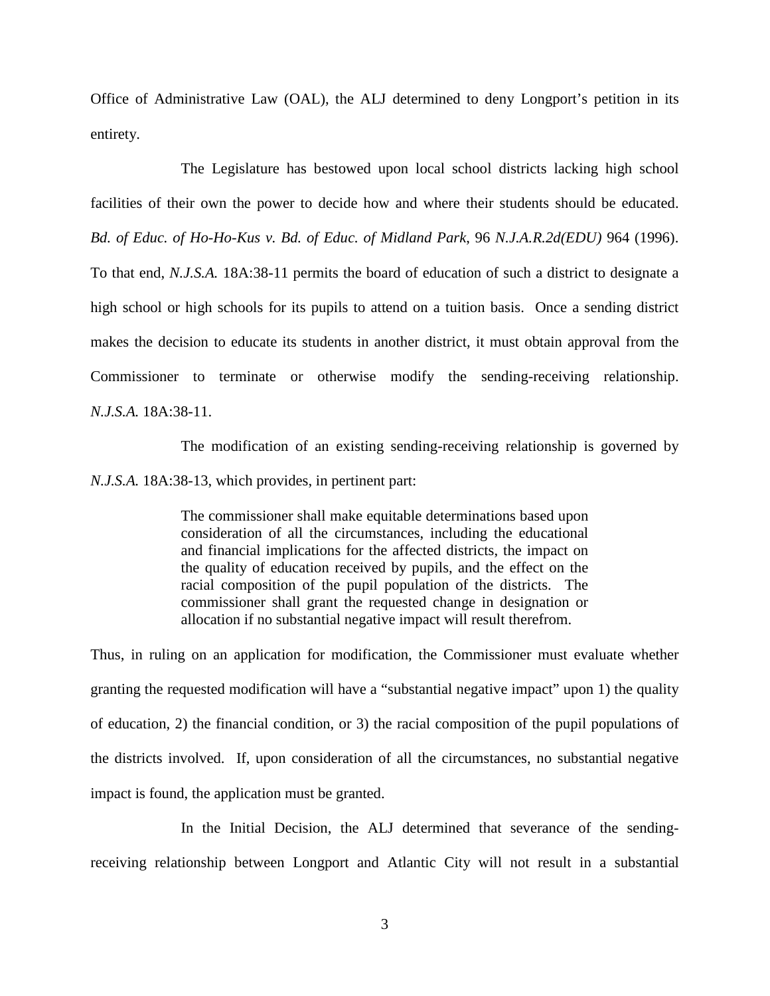Office of Administrative Law (OAL), the ALJ determined to deny Longport's petition in its entirety.

The Legislature has bestowed upon local school districts lacking high school facilities of their own the power to decide how and where their students should be educated. *Bd. of Educ. of Ho-Ho-Kus v. Bd. of Educ. of Midland Park*, 96 *N.J.A.R.2d(EDU)* 964 (1996). To that end, *N.J.S.A.* 18A:38-11 permits the board of education of such a district to designate a high school or high schools for its pupils to attend on a tuition basis. Once a sending district makes the decision to educate its students in another district, it must obtain approval from the Commissioner to terminate or otherwise modify the sending-receiving relationship. *N.J.S.A.* 18A:38-11.

The modification of an existing sending-receiving relationship is governed by *N.J.S.A.* 18A:38-13, which provides, in pertinent part:

> The commissioner shall make equitable determinations based upon consideration of all the circumstances, including the educational and financial implications for the affected districts, the impact on the quality of education received by pupils, and the effect on the racial composition of the pupil population of the districts. The commissioner shall grant the requested change in designation or allocation if no substantial negative impact will result therefrom.

Thus, in ruling on an application for modification, the Commissioner must evaluate whether granting the requested modification will have a "substantial negative impact" upon 1) the quality of education, 2) the financial condition, or 3) the racial composition of the pupil populations of the districts involved. If, upon consideration of all the circumstances, no substantial negative impact is found, the application must be granted.

In the Initial Decision, the ALJ determined that severance of the sendingreceiving relationship between Longport and Atlantic City will not result in a substantial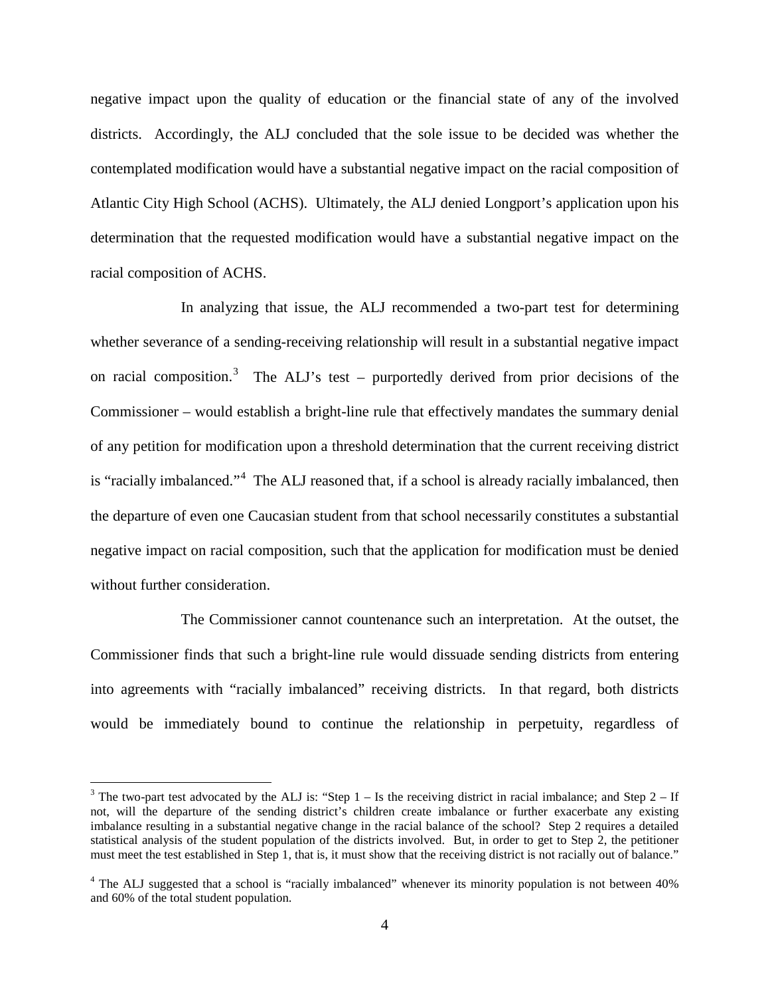negative impact upon the quality of education or the financial state of any of the involved districts. Accordingly, the ALJ concluded that the sole issue to be decided was whether the contemplated modification would have a substantial negative impact on the racial composition of Atlantic City High School (ACHS). Ultimately, the ALJ denied Longport's application upon his determination that the requested modification would have a substantial negative impact on the racial composition of ACHS.

In analyzing that issue, the ALJ recommended a two-part test for determining whether severance of a sending-receiving relationship will result in a substantial negative impact on racial composition.<sup>[3](#page-3-0)</sup> The ALJ's test – purportedly derived from prior decisions of the Commissioner – would establish a bright-line rule that effectively mandates the summary denial of any petition for modification upon a threshold determination that the current receiving district is "racially imbalanced."<sup>[4](#page-3-1)</sup> The ALJ reasoned that, if a school is already racially imbalanced, then the departure of even one Caucasian student from that school necessarily constitutes a substantial negative impact on racial composition, such that the application for modification must be denied without further consideration.

The Commissioner cannot countenance such an interpretation. At the outset, the Commissioner finds that such a bright-line rule would dissuade sending districts from entering into agreements with "racially imbalanced" receiving districts. In that regard, both districts would be immediately bound to continue the relationship in perpetuity, regardless of

<span id="page-3-0"></span><sup>&</sup>lt;sup>3</sup> The two-part test advocated by the ALJ is: "Step  $1 -$  Is the receiving district in racial imbalance; and Step  $2 -$  If not, will the departure of the sending district's children create imbalance or further exacerbate any existing imbalance resulting in a substantial negative change in the racial balance of the school? Step 2 requires a detailed statistical analysis of the student population of the districts involved. But, in order to get to Step 2, the petitioner must meet the test established in Step 1, that is, it must show that the receiving district is not racially out of balance."

<span id="page-3-1"></span><sup>&</sup>lt;sup>4</sup> The ALJ suggested that a school is "racially imbalanced" whenever its minority population is not between 40% and 60% of the total student population.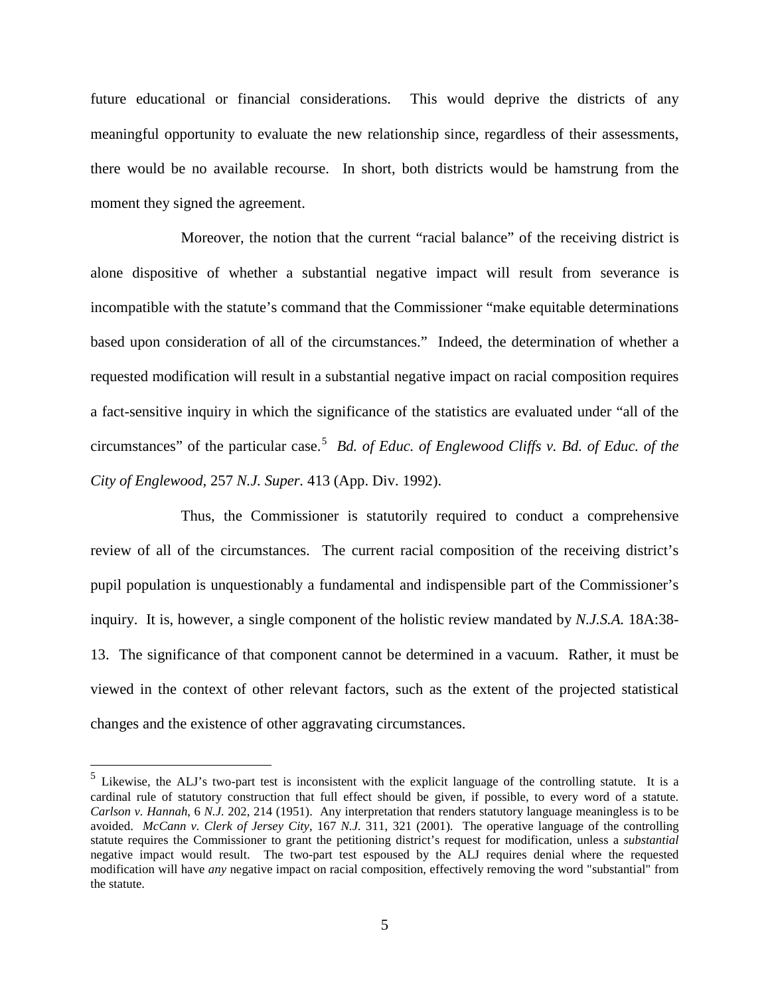future educational or financial considerations. This would deprive the districts of any meaningful opportunity to evaluate the new relationship since, regardless of their assessments, there would be no available recourse. In short, both districts would be hamstrung from the moment they signed the agreement.

Moreover, the notion that the current "racial balance" of the receiving district is alone dispositive of whether a substantial negative impact will result from severance is incompatible with the statute's command that the Commissioner "make equitable determinations based upon consideration of all of the circumstances." Indeed, the determination of whether a requested modification will result in a substantial negative impact on racial composition requires a fact-sensitive inquiry in which the significance of the statistics are evaluated under "all of the circumstances" of the particular case.[5](#page-4-0) *Bd. of Educ. of Englewood Cliffs v. Bd. of Educ. of the City of Englewood,* 257 *N.J. Super.* 413 (App. Div. 1992).

Thus, the Commissioner is statutorily required to conduct a comprehensive review of all of the circumstances. The current racial composition of the receiving district's pupil population is unquestionably a fundamental and indispensible part of the Commissioner's inquiry. It is, however, a single component of the holistic review mandated by *N.J.S.A.* 18A:38- 13. The significance of that component cannot be determined in a vacuum. Rather, it must be viewed in the context of other relevant factors, such as the extent of the projected statistical changes and the existence of other aggravating circumstances.

<span id="page-4-0"></span> $<sup>5</sup>$  Likewise, the ALJ's two-part test is inconsistent with the explicit language of the controlling statute. It is a</sup> cardinal rule of statutory construction that full effect should be given, if possible, to every word of a statute. *Carlson v. Hannah*, 6 *N.J.* 202, 214 (1951). Any interpretation that renders statutory language meaningless is to be avoided. *McCann v. Clerk of Jersey City*, 167 *N.J.* 311, 321 (2001). The operative language of the controlling statute requires the Commissioner to grant the petitioning district's request for modification, unless a *substantial* negative impact would result. The two-part test espoused by the ALJ requires denial where the requested modification will have *any* negative impact on racial composition, effectively removing the word "substantial" from the statute.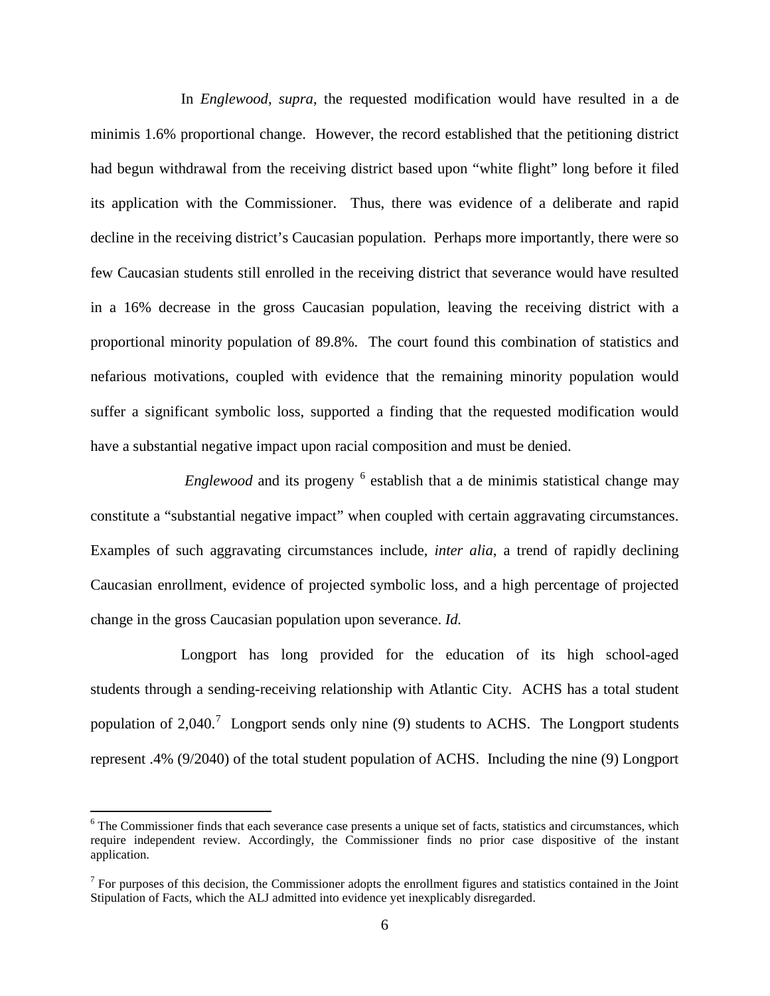In *Englewood*, *supra*, the requested modification would have resulted in a de minimis 1.6% proportional change. However, the record established that the petitioning district had begun withdrawal from the receiving district based upon "white flight" long before it filed its application with the Commissioner. Thus, there was evidence of a deliberate and rapid decline in the receiving district's Caucasian population. Perhaps more importantly, there were so few Caucasian students still enrolled in the receiving district that severance would have resulted in a 16% decrease in the gross Caucasian population, leaving the receiving district with a proportional minority population of 89.8%. The court found this combination of statistics and nefarious motivations, coupled with evidence that the remaining minority population would suffer a significant symbolic loss, supported a finding that the requested modification would have a substantial negative impact upon racial composition and must be denied.

*Englewood* and its progeny <sup>[6](#page-5-0)</sup> establish that a de minimis statistical change may constitute a "substantial negative impact" when coupled with certain aggravating circumstances. Examples of such aggravating circumstances include, *inter alia*, a trend of rapidly declining Caucasian enrollment, evidence of projected symbolic loss, and a high percentage of projected change in the gross Caucasian population upon severance. *Id.* 

Longport has long provided for the education of its high school-aged students through a sending-receiving relationship with Atlantic City. ACHS has a total student population of 2,040.<sup>[7](#page-5-1)</sup> Longport sends only nine (9) students to ACHS. The Longport students represent .4% (9/2040) of the total student population of ACHS. Including the nine (9) Longport

<span id="page-5-0"></span><sup>&</sup>lt;sup>6</sup> The Commissioner finds that each severance case presents a unique set of facts, statistics and circumstances, which require independent review. Accordingly, the Commissioner finds no prior case dispositive of the instant application.

<span id="page-5-1"></span> $<sup>7</sup>$  For purposes of this decision, the Commissioner adopts the enrollment figures and statistics contained in the Joint</sup> Stipulation of Facts, which the ALJ admitted into evidence yet inexplicably disregarded.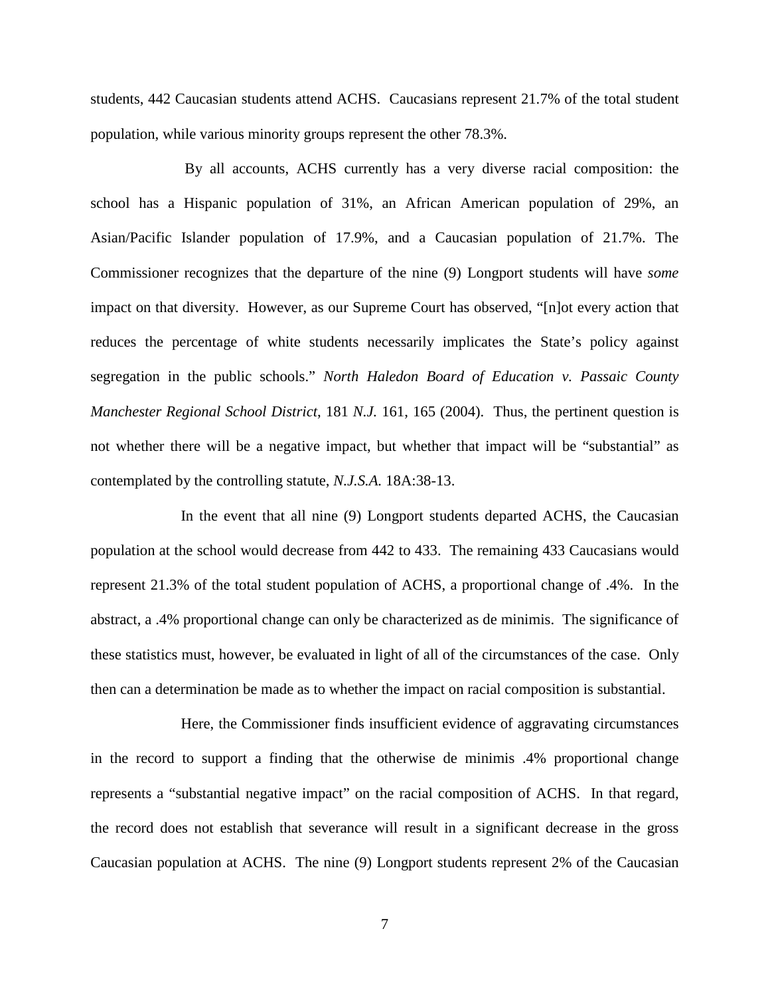students, 442 Caucasian students attend ACHS. Caucasians represent 21.7% of the total student population, while various minority groups represent the other 78.3%.

By all accounts, ACHS currently has a very diverse racial composition: the school has a Hispanic population of 31%, an African American population of 29%, an Asian/Pacific Islander population of 17.9%, and a Caucasian population of 21.7%. The Commissioner recognizes that the departure of the nine (9) Longport students will have *some*  impact on that diversity. However, as our Supreme Court has observed, "[n]ot every action that reduces the percentage of white students necessarily implicates the State's policy against segregation in the public schools." *North Haledon Board of Education v. Passaic County Manchester Regional School District*, 181 *N.J.* 161, 165 (2004). Thus, the pertinent question is not whether there will be a negative impact, but whether that impact will be "substantial" as contemplated by the controlling statute, *N.J.S.A.* 18A:38-13.

In the event that all nine (9) Longport students departed ACHS, the Caucasian population at the school would decrease from 442 to 433. The remaining 433 Caucasians would represent 21.3% of the total student population of ACHS, a proportional change of .4%. In the abstract, a .4% proportional change can only be characterized as de minimis. The significance of these statistics must, however, be evaluated in light of all of the circumstances of the case. Only then can a determination be made as to whether the impact on racial composition is substantial.

Here, the Commissioner finds insufficient evidence of aggravating circumstances in the record to support a finding that the otherwise de minimis .4% proportional change represents a "substantial negative impact" on the racial composition of ACHS. In that regard, the record does not establish that severance will result in a significant decrease in the gross Caucasian population at ACHS. The nine (9) Longport students represent 2% of the Caucasian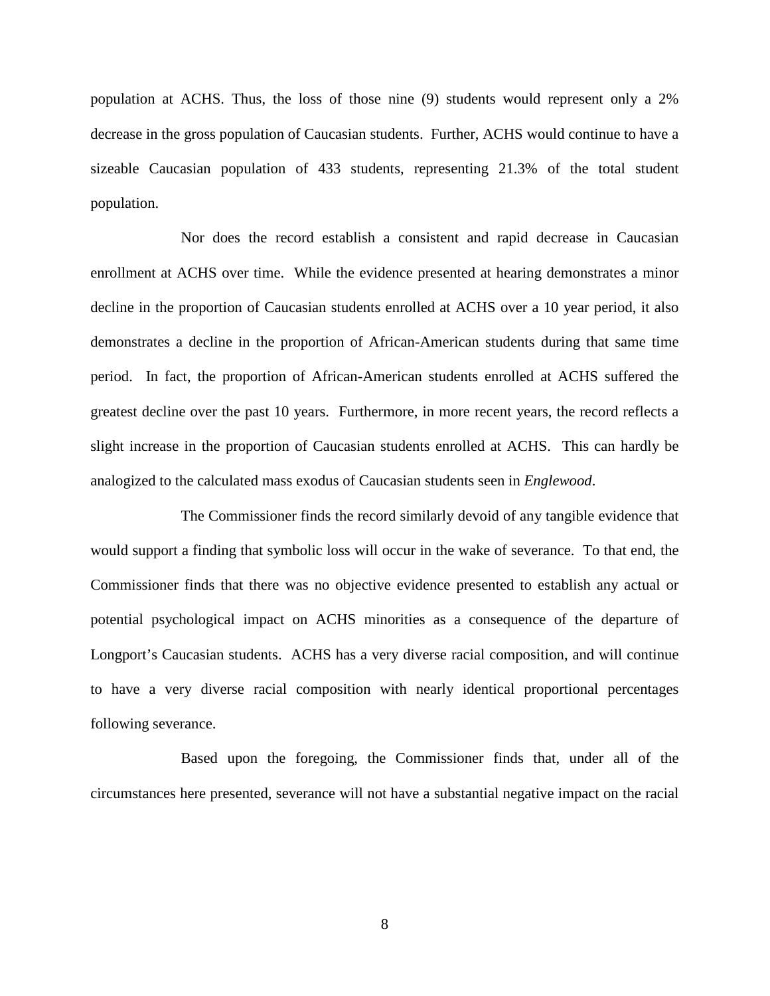population at ACHS. Thus, the loss of those nine (9) students would represent only a 2% decrease in the gross population of Caucasian students. Further, ACHS would continue to have a sizeable Caucasian population of 433 students, representing 21.3% of the total student population.

Nor does the record establish a consistent and rapid decrease in Caucasian enrollment at ACHS over time. While the evidence presented at hearing demonstrates a minor decline in the proportion of Caucasian students enrolled at ACHS over a 10 year period, it also demonstrates a decline in the proportion of African-American students during that same time period. In fact, the proportion of African-American students enrolled at ACHS suffered the greatest decline over the past 10 years. Furthermore, in more recent years, the record reflects a slight increase in the proportion of Caucasian students enrolled at ACHS. This can hardly be analogized to the calculated mass exodus of Caucasian students seen in *Englewood*.

The Commissioner finds the record similarly devoid of any tangible evidence that would support a finding that symbolic loss will occur in the wake of severance. To that end, the Commissioner finds that there was no objective evidence presented to establish any actual or potential psychological impact on ACHS minorities as a consequence of the departure of Longport's Caucasian students. ACHS has a very diverse racial composition, and will continue to have a very diverse racial composition with nearly identical proportional percentages following severance.

Based upon the foregoing, the Commissioner finds that, under all of the circumstances here presented, severance will not have a substantial negative impact on the racial

8